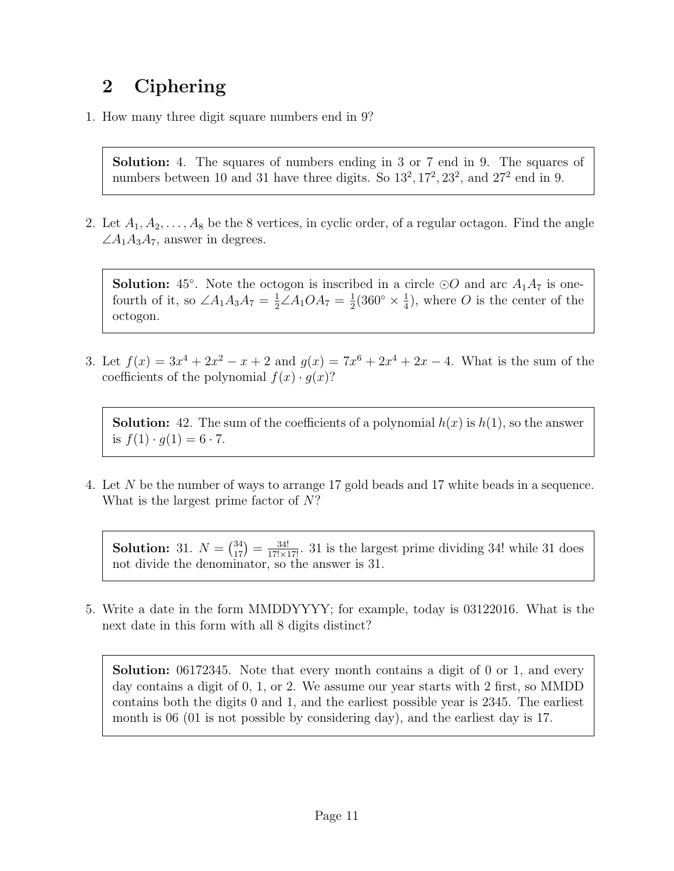## 2 Ciphering

1. How many three digit square numbers end in 9?

Solution: 4. The squares of numbers ending in 3 or 7 end in 9. The squares of numbers between 10 and 31 have three digits. So  $13^2, 17^2, 23^2$ , and  $27^2$  end in 9.

2. Let  $A_1, A_2, \ldots, A_8$  be the 8 vertices, in cyclic order, of a regular octagon. Find the angle  $\angle A_1A_3A_7$ , answer in degrees.

**Solution:** 45<sup>°</sup>. Note the octogon is inscribed in a circle  $\odot$ O and arc  $A_1A_7$  is onefourth of it, so  $\angle A_1A_3A_7 = \frac{1}{2}\angle A_1OA_7 = \frac{1}{2}$  $\frac{1}{2}(360^{\circ} \times \frac{1}{4})$  $\frac{1}{4}$ , where O is the center of the octogon.

3. Let  $f(x) = 3x^4 + 2x^2 - x + 2$  and  $g(x) = 7x^6 + 2x^4 + 2x - 4$ . What is the sum of the coefficients of the polynomial  $f(x) \cdot q(x)$ ?

**Solution:** 42. The sum of the coefficients of a polynomial  $h(x)$  is  $h(1)$ , so the answer is  $f(1) \cdot q(1) = 6 \cdot 7$ .

4. Let N be the number of ways to arrange 17 gold beads and 17 white beads in a sequence. What is the largest prime factor of N?

**Solution:** 31.  $N = \binom{34}{17} = \frac{34!}{17! \times 17!}$ . 31 is the largest prime dividing 34! while 31 does not divide the denominator, so the answer is 31.

5. Write a date in the form MMDDYYYY; for example, today is 03122016. What is the next date in this form with all 8 digits distinct?

Solution: 06172345. Note that every month contains a digit of 0 or 1, and every day contains a digit of 0, 1, or 2. We assume our year starts with 2 first, so MMDD contains both the digits 0 and 1, and the earliest possible year is 2345. The earliest month is 06 (01 is not possible by considering day), and the earliest day is 17.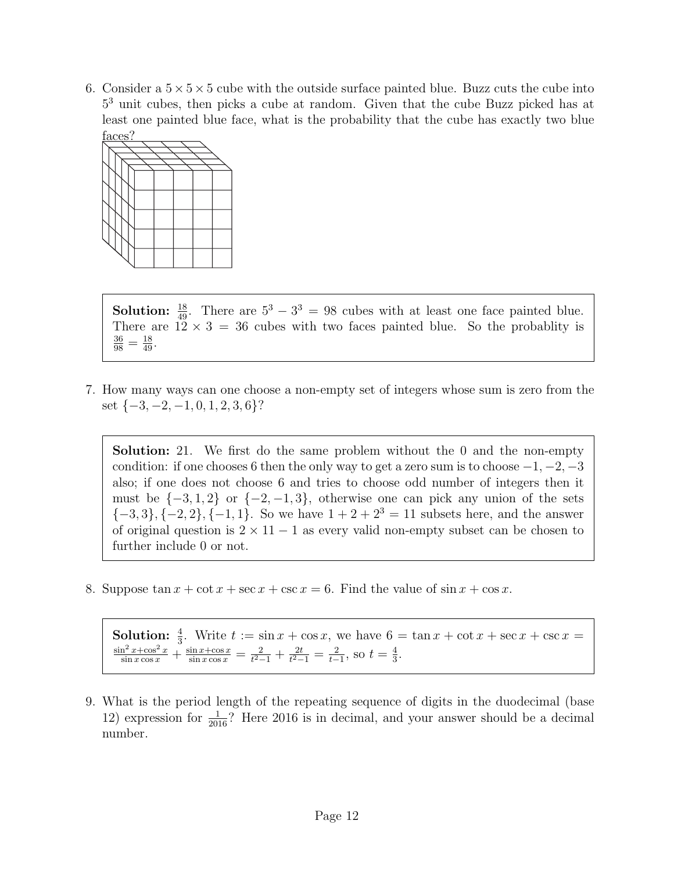6. Consider a  $5 \times 5 \times 5$  cube with the outside surface painted blue. Buzz cuts the cube into 5 <sup>3</sup> unit cubes, then picks a cube at random. Given that the cube Buzz picked has at least one painted blue face, what is the probability that the cube has exactly two blue faces?



**Solution:**  $\frac{18}{49}$ . There are  $5^3 - 3^3 = 98$  cubes with at least one face painted blue. There are  $12 \times 3 = 36$  cubes with two faces painted blue. So the probablity is  $\frac{36}{98} = \frac{18}{49}.$ 

7. How many ways can one choose a non-empty set of integers whose sum is zero from the set  $\{-3, -2, -1, 0, 1, 2, 3, 6\}$ ?

Solution: 21. We first do the same problem without the 0 and the non-empty condition: if one chooses 6 then the only way to get a zero sum is to choose  $-1, -2, -3$ also; if one does not choose 6 and tries to choose odd number of integers then it must be  $\{-3, 1, 2\}$  or  $\{-2, -1, 3\}$ , otherwise one can pick any union of the sets  ${-3, 3}$ ,  ${-2, 2}$ ,  ${-1, 1}$ . So we have  $1 + 2 + 2^3 = 11$  subsets here, and the answer of original question is  $2 \times 11 - 1$  as every valid non-empty subset can be chosen to further include 0 or not.

8. Suppose  $\tan x + \cot x + \sec x + \csc x = 6$ . Find the value of  $\sin x + \cos x$ .

**Solution:**  $\frac{4}{3}$ . Write  $t := \sin x + \cos x$ , we have  $6 = \tan x + \cot x + \sec x + \csc x =$  $\frac{\sin^2 x + \cos^2 x}{\sin x \cos x} + \frac{\sin x + \cos x}{\sin x \cos x} = \frac{2}{t^2 - t^2}$  $\frac{2}{t^2-1}+\frac{2t}{t^2-1}$  $\frac{2t}{t^2-1}=\frac{2}{t-1}$  $\frac{2}{t-1}$ , so  $t = \frac{4}{3}$  $\frac{4}{3}$ .

9. What is the period length of the repeating sequence of digits in the duodecimal (base 12) expression for  $\frac{1}{2016}$ ? Here 2016 is in decimal, and your answer should be a decimal number.